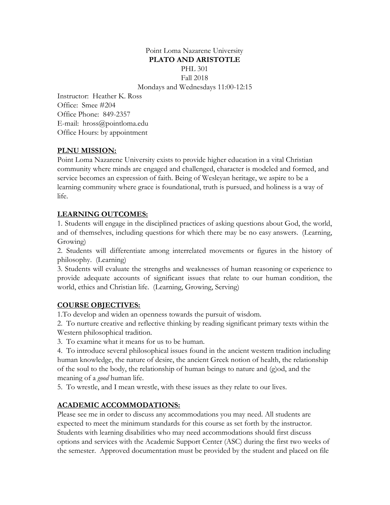## Point Loma Nazarene University **PLATO AND ARISTOTLE** PHL 301 Fall 2018 Mondays and Wednesdays 11:00-12:15

Instructor: Heather K. Ross Office: Smee #204 Office Phone: 849-2357 E-mail: hross@pointloma.edu Office Hours: by appointment

### **PLNU MISSION:**

Point Loma Nazarene University exists to provide higher education in a vital Christian community where minds are engaged and challenged, character is modeled and formed, and service becomes an expression of faith. Being of Wesleyan heritage, we aspire to be a learning community where grace is foundational, truth is pursued, and holiness is a way of life.

### **LEARNING OUTCOMES:**

1. Students will engage in the disciplined practices of asking questions about God, the world, and of themselves, including questions for which there may be no easy answers. (Learning, Growing)

2. Students will differentiate among interrelated movements or figures in the history of philosophy. (Learning)

3. Students will evaluate the strengths and weaknesses of human reasoning or experience to provide adequate accounts of significant issues that relate to our human condition, the world, ethics and Christian life. (Learning, Growing, Serving)

### **COURSE OBJECTIVES:**

1.To develop and widen an openness towards the pursuit of wisdom.

2. To nurture creative and reflective thinking by reading significant primary texts within the Western philosophical tradition.

3. To examine what it means for us to be human.

4. To introduce several philosophical issues found in the ancient western tradition including human knowledge, the nature of desire, the ancient Greek notion of health, the relationship of the soul to the body, the relationship of human beings to nature and (g)od, and the meaning of a *good* human life.

5. To wrestle, and I mean wrestle, with these issues as they relate to our lives.

### **ACADEMIC ACCOMMODATIONS:**

Please see me in order to discuss any accommodations you may need. All students are expected to meet the minimum standards for this course as set forth by the instructor. Students with learning disabilities who may need accommodations should first discuss options and services with the Academic Support Center (ASC) during the first two weeks of the semester. Approved documentation must be provided by the student and placed on file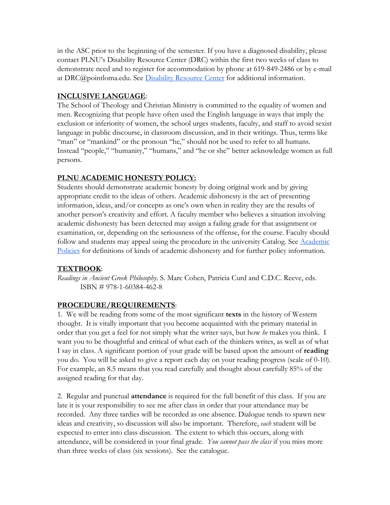in the ASC prior to the beginning of the semester. If you have a diagnosed disability, please contact PLNU's Disability Resource Center (DRC) within the first two weeks of class to demonstrate need and to register for accommodation by phone at 619-849-2486 or by e-mail at DRC@pointloma.[e](http://www.pointloma.edu/experience/offices/administrative-offices/academic-advising-office/disability-resource-center)du. See [Disability Resource Center](http://www.pointloma.edu/experience/offices/administrative-offices/academic-advising-office/disability-resource-center) for additional information.

## **INCLUSIVE LANGUAGE**:

The School of Theology and Christian Ministry is committed to the equality of women and men. Recognizing that people have often used the English language in ways that imply the exclusion or inferiority of women, the school urges students, faculty, and staff to avoid sexist language in public discourse, in classroom discussion, and in their writings. Thus, terms like "man" or "mankind" or the pronoun "he," should not be used to refer to all humans. Instead "people," "humanity," "humans," and "he or she" better acknowledge women as full persons.

# **PLNU ACADEMIC HONESTY POLICY:**

Students should demonstrate academic honesty by doing original work and by giving appropriate credit to the ideas of others. Academic dishonesty is the act of presenting information, ideas, and/or concepts as one's own when in reality they are the results of another person's creativity and effort. A faculty member who believes a situation involving academic dishonesty has been detected may assign a failing grade for that assignment or examination, or, depending on the seriousness of the offense, for the course. Faculty should follow and students may appeal using the procedure in the university Catalog. See [Academic](http://catalog.pointloma.edu/content.php?catoid=18&navoid=1278) [Policies](http://catalog.pointloma.edu/content.php?catoid=18&navoid=1278) for definitions of kinds of academic dishonesty and for further policy information.

# **TEXTBOOK**:

*Readings in Ancient Greek Philosophy*. S. Marc Cohen, Patricia Curd and C.D.C. Reeve, eds. ISBN # 978-1-60384-462-8

# **PROCEDURE/REQUIREMENTS**:

1. We will be reading from some of the most significant **texts** in the history of Western thought. It is vitally important that you become acquainted with the primary material in order that you get a feel for not simply what the writer says, but how *he* makes you think. I want you to be thoughtful and critical of what each of the thinkers writes, as well as of what I say in class. A significant portion of your grade will be based upon the amount of **reading** you do. You will be asked to give a report each day on your reading progress (scale of 0-10). For example, an 8.5 means that you read carefully and thought about carefully 85% of the assigned reading for that day.

2. Regular and punctual **attendance** is required for the full benefit of this class. If you are late it is your responsibility to see me after class in order that your attendance may be recorded. Any three tardies will be recorded as one absence. Dialogue tends to spawn new ideas and creativity, so discussion will also be important. Therefore, *each* student will be expected to enter into class discussion. The extent to which this occurs, along with attendance, will be considered in your final grade. *You cannot pass the class* if you miss more than three weeks of class (six sessions). See the catalogue.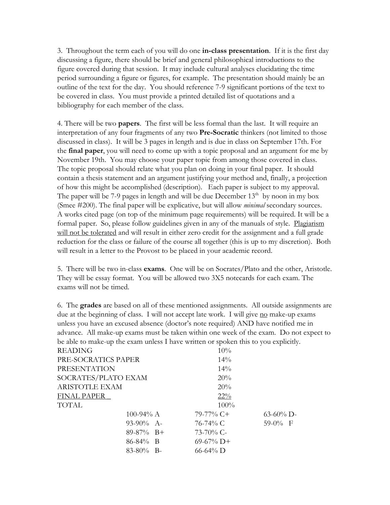3. Throughout the term each of you will do one **in-class presentation**. If it is the first day discussing a figure, there should be brief and general philosophical introductions to the figure covered during that session. It may include cultural analyses elucidating the time period surrounding a figure or figures, for example. The presentation should mainly be an outline of the text for the day. You should reference 7-9 significant portions of the text to be covered in class. You must provide a printed detailed list of quotations and a bibliography for each member of the class.

4. There will be two **papers**. The first will be less formal than the last. It will require an interpretation of any four fragments of any two **Pre-Socratic** thinkers (not limited to those discussed in class). It will be 3 pages in length and is due in class on September 17th. For the **final paper**, you will need to come up with a topic proposal and an argument for me by November 19th. You may choose your paper topic from among those covered in class. The topic proposal should relate what you plan on doing in your final paper. It should contain a thesis statement and an argument justifying your method and, finally, a projection of how this might be accomplished (description). Each paper is subject to my approval. The paper will be 7-9 pages in length and will be due December  $13<sup>th</sup>$  by noon in my box (Smee #200). The final paper will be explicative, but will allow *minimal* secondary sources. A works cited page (on top of the minimum page requirements) will be required. It will be a formal paper. So, please follow guidelines given in any of the manuals of style. Plagiarism will not be tolerated and will result in either zero credit for the assignment and a full grade reduction for the class or failure of the course all together (this is up to my discretion). Both will result in a letter to the Provost to be placed in your academic record.

5. There will be two in-class **exams**. One will be on Socrates/Plato and the other, Aristotle. They will be essay format. You will be allowed two 3X5 notecards for each exam. The exams will not be timed.

6. The **grades** are based on all of these mentioned assignments. All outside assignments are due at the beginning of class. I will not accept late work. I will give no make-up exams unless you have an excused absence (doctor's note required) AND have notified me in advance. All make-up exams must be taken within one week of the exam. Do not expect to be able to make-up the exam unless I have written or spoken this to you explicitly.

| <b>READING</b>        |               | 10%           |              |
|-----------------------|---------------|---------------|--------------|
| PRE-SOCRATICS PAPER   |               | 14%           |              |
| <b>PRESENTATION</b>   |               | 14%           |              |
| SOCRATES/PLATO EXAM   |               | 20%           |              |
| <b>ARISTOTLE EXAM</b> |               | 20%           |              |
| <b>FINAL PAPER</b>    |               | $22\%$        |              |
| TOTAL                 |               | $100\%$       |              |
|                       | 100-94% $A$   | $79-77\%$ C+  | $63-60\%$ D- |
|                       | $93-90\%$ A-  | 76-74% C      | $59-0\%$ F   |
|                       | $89-87\%$ B+  | $73-70\%$ C-  |              |
|                       | $86 - 84\%$ B | $69-67\%$ D+  |              |
|                       | $83-80\%$ B-  | $66 - 64\%$ D |              |